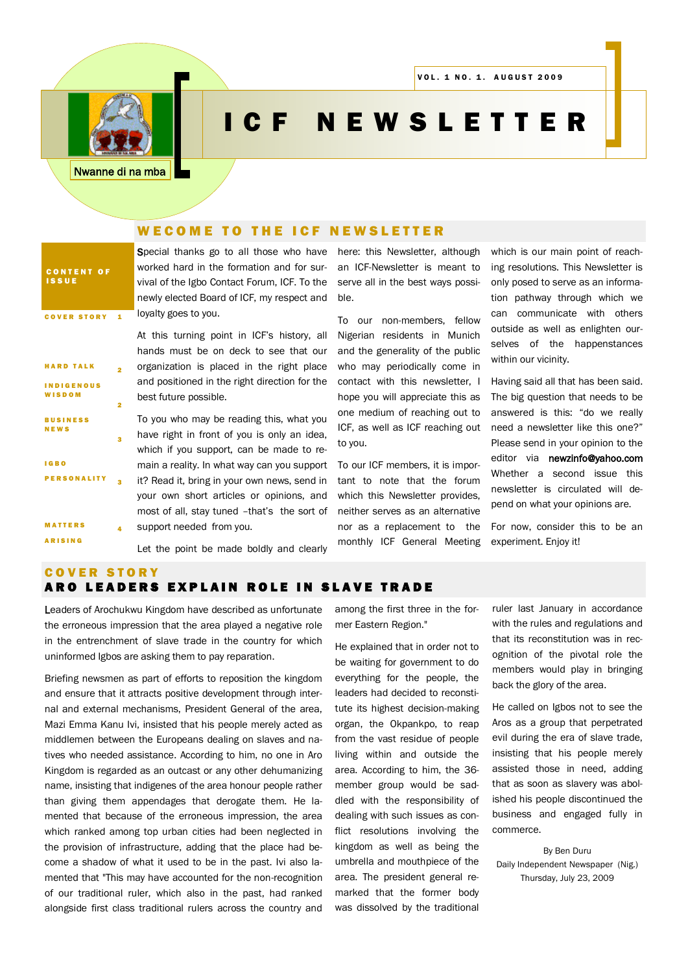

# I C F N E W S L E T T E R

Nwanne di na mba

### WE COME TO THE ICF NEWSLETTER

CONTENT OF I S S U E COVER STORY 1

2

3

4

HARD TALK I N D I G E N O U S W ISDOM

**BUSINESS** N E W S

**MATTERS ARISING** 

PERSONALITY 3

I G B O

Special thanks go to all those who have worked hard in the formation and for survival of the Igbo Contact Forum, ICF. To the newly elected Board of ICF, my respect and loyalty goes to you.

At this turning point in ICF's history, all hands must be on deck to see that our organization is placed in the right place and positioned in the right direction for the best future possible.

To you who may be reading this, what you have right in front of you is only an idea, which if you support, can be made to remain a reality. In what way can you support it? Read it, bring in your own news, send in your own short articles or opinions, and most of all, stay tuned –that's the sort of support needed from you.

Let the point be made boldly and clearly

here: this Newsletter, although an ICF-Newsletter is meant to serve all in the best ways possible.

To our non-members, fellow Nigerian residents in Munich and the generality of the public who may periodically come in contact with this newsletter, I hope you will appreciate this as one medium of reaching out to ICF, as well as ICF reaching out to you.

To our ICF members, it is important to note that the forum which this Newsletter provides, neither serves as an alternative nor as a replacement to the monthly ICF General Meeting

which is our main point of reaching resolutions. This Newsletter is only posed to serve as an information pathway through which we can communicate with others outside as well as enlighten ourselves of the happenstances within our vicinity.

Having said all that has been said. The big question that needs to be answered is this: "do we really need a newsletter like this one?" Please send in your opinion to the editor via newzinfo@yahoo.com Whether a second issue this newsletter is circulated will depend on what your opinions are.

For now, consider this to be an experiment. Enjoy it!

#### **COVER STORY** ARO LEADERS EXPLAIN ROLE IN SLAVE TRADE

Leaders of Arochukwu Kingdom have described as unfortunate the erroneous impression that the area played a negative role in the entrenchment of slave trade in the country for which uninformed Igbos are asking them to pay reparation.

Briefing newsmen as part of efforts to reposition the kingdom and ensure that it attracts positive development through internal and external mechanisms, President General of the area, Mazi Emma Kanu Ivi, insisted that his people merely acted as middlemen between the Europeans dealing on slaves and natives who needed assistance. According to him, no one in Aro Kingdom is regarded as an outcast or any other dehumanizing name, insisting that indigenes of the area honour people rather than giving them appendages that derogate them. He lamented that because of the erroneous impression, the area which ranked among top urban cities had been neglected in the provision of infrastructure, adding that the place had become a shadow of what it used to be in the past. Ivi also lamented that "This may have accounted for the non-recognition of our traditional ruler, which also in the past, had ranked alongside first class traditional rulers across the country and

among the first three in the former Eastern Region."

He explained that in order not to be waiting for government to do everything for the people, the leaders had decided to reconstitute its highest decision-making organ, the Okpankpo, to reap from the vast residue of people living within and outside the area. According to him, the 36 member group would be saddled with the responsibility of dealing with such issues as conflict resolutions involving the kingdom as well as being the umbrella and mouthpiece of the area. The president general remarked that the former body was dissolved by the traditional

ruler last January in accordance with the rules and regulations and that its reconstitution was in recognition of the pivotal role the members would play in bringing back the glory of the area.

He called on Igbos not to see the Aros as a group that perpetrated evil during the era of slave trade, insisting that his people merely assisted those in need, adding that as soon as slavery was abolished his people discontinued the business and engaged fully in commerce.

By Ben Duru Daily Independent Newspaper (Nig.) Thursday, July 23, 2009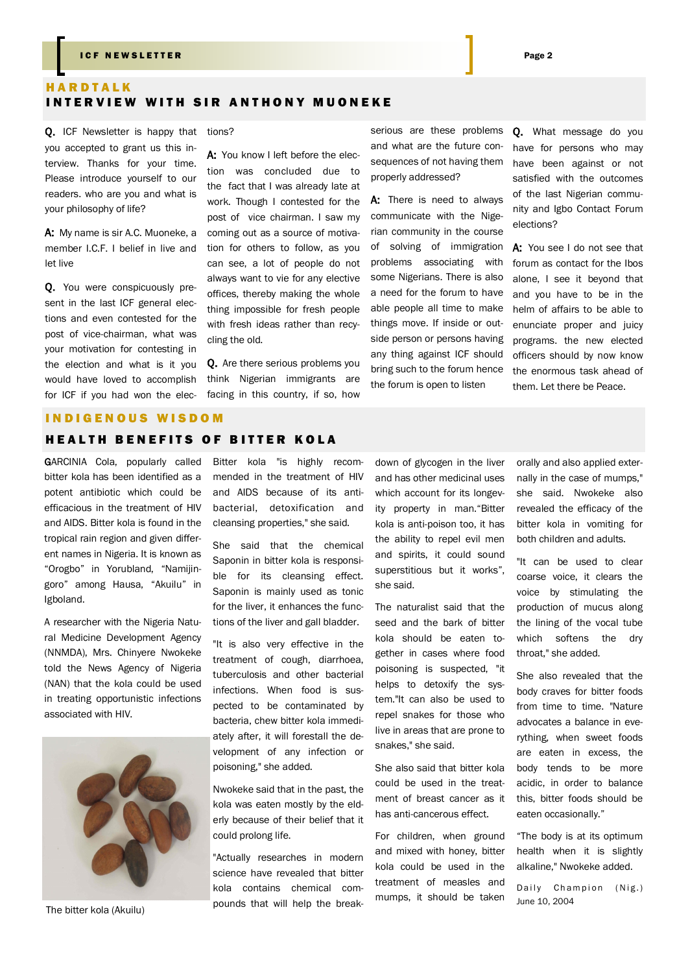#### I C F N E W SLETTER PAGE 2 AND THE RESERVE TO A RESERVE THE RESERVE TO A RESERVE THE RESERVE TO A RESERVE THE

# **HARDTALK** INTERVIEW WITH SIR ANTHONY MUONEKE

Q. ICF Newsletter is happy that tions? you accepted to grant us this interview. Thanks for your time. Please introduce yourself to our readers. who are you and what is your philosophy of life?

A: My name is sir A.C. Muoneke, a member I.C.F. I belief in live and let live

Q. You were conspicuously present in the last ICF general elections and even contested for the post of vice-chairman, what was your motivation for contesting in the election and what is it you would have loved to accomplish for ICF if you had won the elec-

A: You know I left before the election was concluded due to the fact that I was already late at work. Though I contested for the post of vice chairman. I saw my coming out as a source of motivation for others to follow, as you can see, a lot of people do not always want to vie for any elective offices, thereby making the whole thing impossible for fresh people with fresh ideas rather than recycling the old.

Q. Are there serious problems you think Nigerian immigrants are facing in this country, if so, how serious are these problems and what are the future consequences of not having them properly addressed?

A: There is need to always communicate with the Nigerian community in the course of solving of immigration problems associating with some Nigerians. There is also a need for the forum to have able people all time to make things move. If inside or outside person or persons having any thing against ICF should bring such to the forum hence the forum is open to listen

Q. What message do you have for persons who may have been against or not satisfied with the outcomes of the last Nigerian community and Igbo Contact Forum elections?

A: You see I do not see that forum as contact for the Ibos alone, I see it beyond that and you have to be in the helm of affairs to be able to enunciate proper and juicy programs. the new elected officers should by now know the enormous task ahead of them. Let there be Peace.

#### INDIGENOUS WISDOM

#### **HEALTH BENEFITS OF BITTER KOLA**

GARCINIA Cola, popularly called bitter kola has been identified as a potent antibiotic which could be efficacious in the treatment of HIV and AIDS. Bitter kola is found in the tropical rain region and given different names in Nigeria. It is known as "Orogbo" in Yorubland, "Namijingoro" among Hausa, "Akuilu" in Igboland.

A researcher with the Nigeria Natural Medicine Development Agency (NNMDA), Mrs. Chinyere Nwokeke told the News Agency of Nigeria (NAN) that the kola could be used in treating opportunistic infections associated with HIV.



The bitter kola (Akuilu)

Bitter kola "is highly recommended in the treatment of HIV and AIDS because of its antibacterial, detoxification and cleansing properties," she said.

She said that the chemical Saponin in bitter kola is responsible for its cleansing effect. Saponin is mainly used as tonic for the liver, it enhances the functions of the liver and gall bladder.

"It is also very effective in the treatment of cough, diarrhoea, tuberculosis and other bacterial infections. When food is suspected to be contaminated by bacteria, chew bitter kola immediately after, it will forestall the development of any infection or poisoning," she added.

Nwokeke said that in the past, the kola was eaten mostly by the elderly because of their belief that it could prolong life.

"Actually researches in modern science have revealed that bitter kola contains chemical compounds that will help the break-

down of glycogen in the liver and has other medicinal uses which account for its longevity property in man."Bitter kola is anti-poison too, it has the ability to repel evil men and spirits, it could sound superstitious but it works", she said.

The naturalist said that the seed and the bark of bitter kola should be eaten together in cases where food poisoning is suspected, "it helps to detoxify the system."It can also be used to repel snakes for those who live in areas that are prone to snakes," she said.

She also said that bitter kola could be used in the treatment of breast cancer as it has anti-cancerous effect.

For children, when ground and mixed with honey, bitter kola could be used in the treatment of measles and mumps, it should be taken orally and also applied externally in the case of mumps," she said. Nwokeke also revealed the efficacy of the bitter kola in vomiting for both children and adults.

"It can be used to clear coarse voice, it clears the voice by stimulating the production of mucus along the lining of the vocal tube which softens the dry throat," she added.

She also revealed that the body craves for bitter foods from time to time. "Nature advocates a balance in everything, when sweet foods are eaten in excess, the body tends to be more acidic, in order to balance this, bitter foods should be eaten occasionally."

"The body is at its optimum health when it is slightly alkaline," Nwokeke added.

Daily Champion (Nig.) June 10, 2004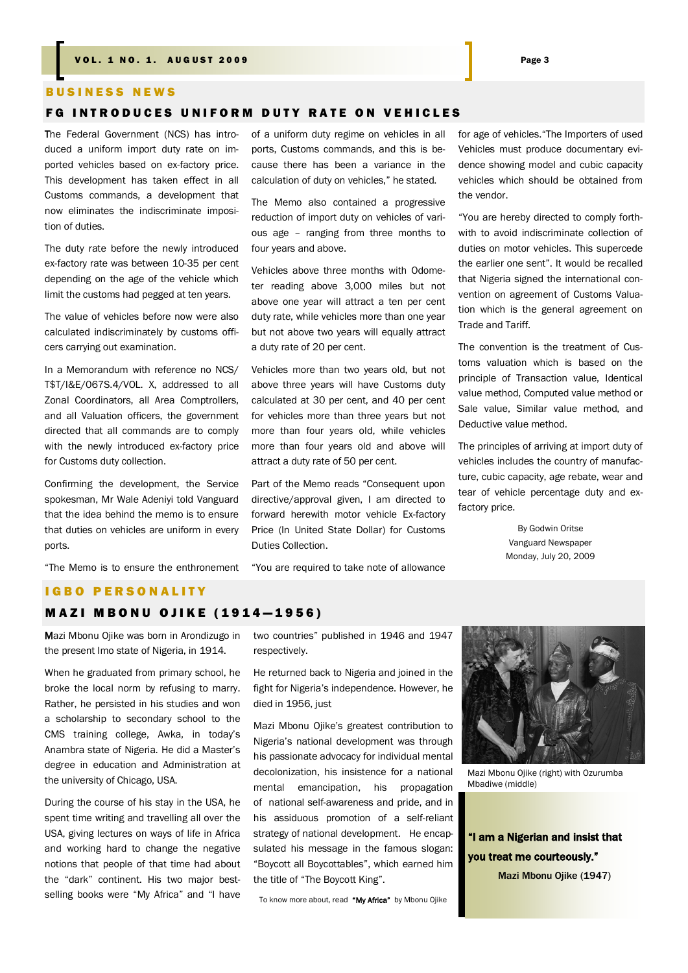#### B U S I N E S S N E W S

#### **FG INTRODUCES UNIFORM DUTY RATE ON VEHICLES**

The Federal Government (NCS) has introduced a uniform import duty rate on imported vehicles based on ex-factory price. This development has taken effect in all Customs commands, a development that now eliminates the indiscriminate imposition of duties.

The duty rate before the newly introduced ex-factory rate was between 10-35 per cent depending on the age of the vehicle which limit the customs had pegged at ten years.

The value of vehicles before now were also calculated indiscriminately by customs officers carrying out examination.

In a Memorandum with reference no NCS/ T\$T/I&E/067S.4/VOL. X, addressed to all Zonal Coordinators, all Area Comptrollers, and all Valuation officers, the government directed that all commands are to comply with the newly introduced ex-factory price for Customs duty collection.

Confirming the development, the Service spokesman, Mr Wale Adeniyi told Vanguard that the idea behind the memo is to ensure that duties on vehicles are uniform in every ports.

"The Memo is to ensure the enthronement

of a uniform duty regime on vehicles in all ports, Customs commands, and this is because there has been a variance in the calculation of duty on vehicles," he stated.

The Memo also contained a progressive reduction of import duty on vehicles of various age – ranging from three months to four years and above.

Vehicles above three months with Odometer reading above 3,000 miles but not above one year will attract a ten per cent duty rate, while vehicles more than one year but not above two years will equally attract a duty rate of 20 per cent.

Vehicles more than two years old, but not above three years will have Customs duty calculated at 30 per cent, and 40 per cent for vehicles more than three years but not more than four years old, while vehicles more than four years old and above will attract a duty rate of 50 per cent.

Part of the Memo reads "Consequent upon directive/approval given, I am directed to forward herewith motor vehicle Ex-factory Price (In United State Dollar) for Customs Duties Collection.

"You are required to take note of allowance

for age of vehicles."The Importers of used Vehicles must produce documentary evidence showing model and cubic capacity vehicles which should be obtained from the vendor.

"You are hereby directed to comply forthwith to avoid indiscriminate collection of duties on motor vehicles. This supercede the earlier one sent". It would be recalled that Nigeria signed the international convention on agreement of Customs Valuation which is the general agreement on Trade and Tariff.

The convention is the treatment of Customs valuation which is based on the principle of Transaction value, Identical value method, Computed value method or Sale value, Similar value method, and Deductive value method.

The principles of arriving at import duty of vehicles includes the country of manufacture, cubic capacity, age rebate, wear and tear of vehicle percentage duty and exfactory price.

> By Godwin Oritse Vanguard Newspaper Monday, July 20, 2009

# **IGBO PERSONALITY**

# **MAZI MBONU OJIKE (1914-1956)**

Mazi Mbonu Ojike was born in Arondizugo in the present Imo state of Nigeria, in 1914.

When he graduated from primary school, he broke the local norm by refusing to marry. Rather, he persisted in his studies and won a scholarship to secondary school to the CMS training college, Awka, in today's Anambra state of Nigeria. He did a Master's degree in education and Administration at the university of Chicago, USA.

During the course of his stay in the USA, he spent time writing and travelling all over the USA, giving lectures on ways of life in Africa and working hard to change the negative notions that people of that time had about the "dark" continent. His two major bestselling books were "My Africa" and "I have

two countries" published in 1946 and 1947 respectively.

He returned back to Nigeria and joined in the fight for Nigeria's independence. However, he died in 1956, just

Mazi Mbonu Ojike's greatest contribution to Nigeria's national development was through his passionate advocacy for individual mental decolonization, his insistence for a national mental emancipation, his propagation of national self-awareness and pride, and in his assiduous promotion of a self-reliant strategy of national development. He encapsulated his message in the famous slogan: "Boycott all Boycottables", which earned him the title of "The Boycott King".

To know more about, read "My Africa" by Mbonu Ojike



Mazi Mbonu Ojike (right) with Ozurumba Mbadiwe (middle)

"I am a Nigerian and insist that you treat me courteously." Mazi Mbonu Ojike (1947)